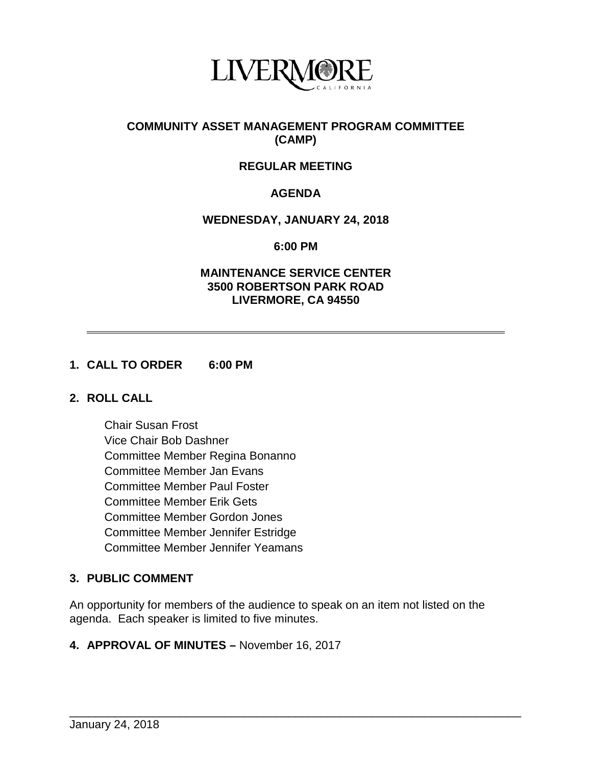

## **COMMUNITY ASSET MANAGEMENT PROGRAM COMMITTEE (CAMP)**

# **REGULAR MEETING**

# **AGENDA**

### **WEDNESDAY, JANUARY 24, 2018**

**6:00 PM**

#### **MAINTENANCE SERVICE CENTER 3500 ROBERTSON PARK ROAD LIVERMORE, CA 94550**

### **1. CALL TO ORDER 6:00 PM**

#### **2. ROLL CALL**

Chair Susan Frost Vice Chair Bob Dashner Committee Member Regina Bonanno Committee Member Jan Evans Committee Member Paul Foster Committee Member Erik Gets Committee Member Gordon Jones Committee Member Jennifer Estridge Committee Member Jennifer Yeamans

# **3. PUBLIC COMMENT**

An opportunity for members of the audience to speak on an item not listed on the agenda. Each speaker is limited to five minutes.

\_\_\_\_\_\_\_\_\_\_\_\_\_\_\_\_\_\_\_\_\_\_\_\_\_\_\_\_\_\_\_\_\_\_\_\_\_\_\_\_\_\_\_\_\_\_\_\_\_\_\_\_\_\_\_\_\_\_\_\_\_\_\_\_\_\_\_\_\_\_

#### **4. APPROVAL OF MINUTES –** November 16, 2017